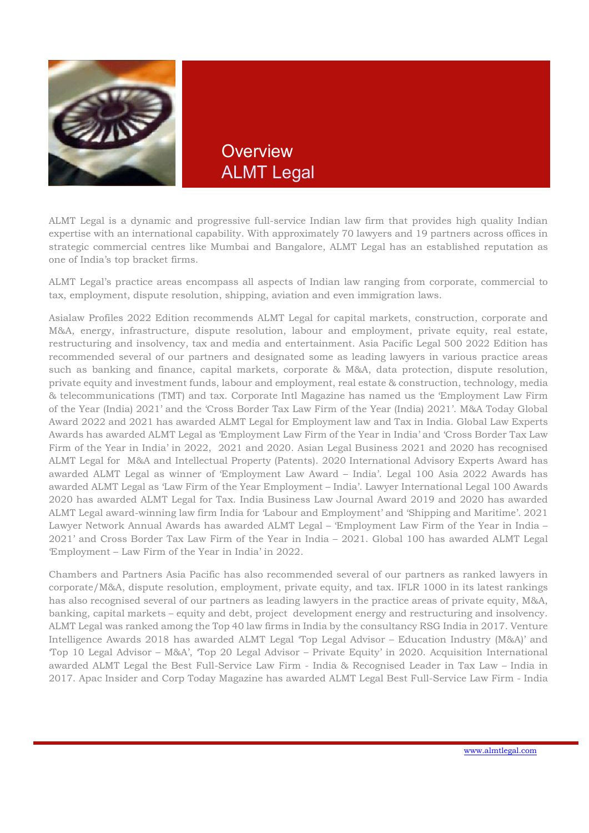

**Overview** ALMT Legal

ALMT Legal is a dynamic and progressive full-service Indian law firm that provides high quality Indian expertise with an international capability. With approximately 70 lawyers and 19 partners across offices in strategic commercial centres like Mumbai and Bangalore, ALMT Legal has an established reputation as one of India's top bracket firms.

ALMT Legal's practice areas encompass all aspects of Indian law ranging from corporate, commercial to tax, employment, dispute resolution, shipping, aviation and even immigration laws.

Asialaw Profiles 2022 Edition recommends ALMT Legal for capital markets, construction, corporate and M&A, energy, infrastructure, dispute resolution, labour and employment, private equity, real estate, restructuring and insolvency, tax and media and entertainment. Asia Pacific Legal 500 2022 Edition has recommended several of our partners and designated some as leading lawyers in various practice areas such as banking and finance, capital markets, corporate & M&A, data protection, dispute resolution, private equity and investment funds, labour and employment, real estate & construction, technology, media & telecommunications (TMT) and tax. Corporate Intl Magazine has named us the 'Employment Law Firm of the Year (India) 2021' and the 'Cross Border Tax Law Firm of the Year (India) 2021'. M&A Today Global Award 2022 and 2021 has awarded ALMT Legal for Employment law and Tax in India. Global Law Experts Awards has awarded ALMT Legal as 'Employment Law Firm of the Year in India' and 'Cross Border Tax Law Firm of the Year in India' in 2022, 2021 and 2020. Asian Legal Business 2021 and 2020 has recognised ALMT Legal for M&A and Intellectual Property (Patents). 2020 International Advisory Experts Award has awarded ALMT Legal as winner of 'Employment Law Award – India'. Legal 100 Asia 2022 Awards has awarded ALMT Legal as 'Law Firm of the Year Employment – India'. Lawyer International Legal 100 Awards 2020 has awarded ALMT Legal for Tax. India Business Law Journal Award 2019 and 2020 has awarded ALMT Legal award-winning law firm India for 'Labour and Employment' and 'Shipping and Maritime'. 2021 Lawyer Network Annual Awards has awarded ALMT Legal – 'Employment Law Firm of the Year in India – 2021' and Cross Border Tax Law Firm of the Year in India – 2021. Global 100 has awarded ALMT Legal 'Employment – Law Firm of the Year in India' in 2022.

Chambers and Partners Asia Pacific has also recommended several of our partners as ranked lawyers in corporate/M&A, dispute resolution, employment, private equity, and tax. IFLR 1000 in its latest rankings has also recognised several of our partners as leading lawyers in the practice areas of private equity, M&A, banking, capital markets – equity and debt, project development energy and restructuring and insolvency. ALMT Legal was ranked among the Top 40 law firms in India by the consultancy RSG India in 2017. Venture Intelligence Awards 2018 has awarded ALMT Legal 'Top Legal Advisor – Education Industry (M&A)' and 'Top 10 Legal Advisor – M&A', 'Top 20 Legal Advisor – Private Equity' in 2020. Acquisition International awarded ALMT Legal the Best Full-Service Law Firm - India & Recognised Leader in Tax Law – India in 2017. Apac Insider and Corp Today Magazine has awarded ALMT Legal Best Full-Service Law Firm - India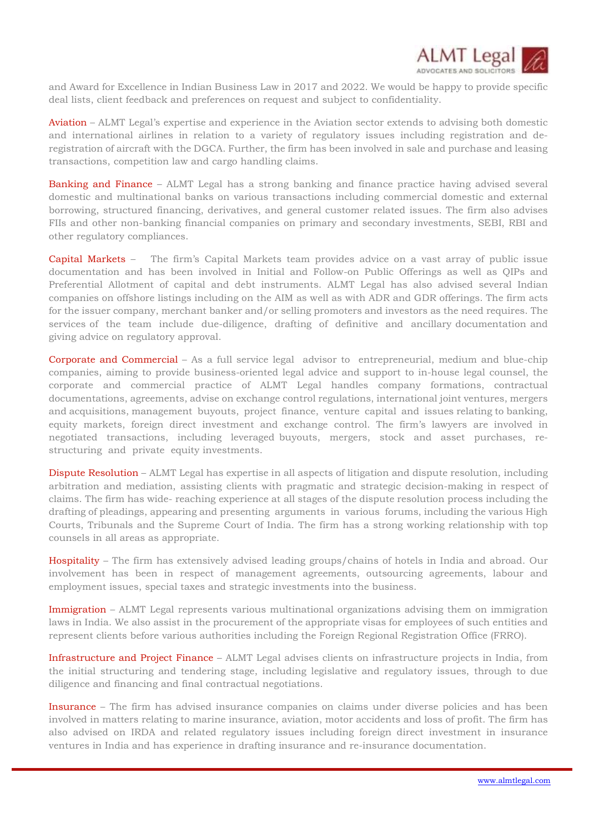

and Award for Excellence in Indian Business Law in 2017 and 2022. We would be happy to provide specific deal lists, client feedback and preferences on request and subject to confidentiality.

Aviation – ALMT Legal's expertise and experience in the Aviation sector extends to advising both domestic and international airlines in relation to a variety of regulatory issues including registration and deregistration of aircraft with the DGCA. Further, the firm has been involved in sale and purchase and leasing transactions, competition law and cargo handling claims.

Banking and Finance – ALMT Legal has a strong banking and finance practice having advised several domestic and multinational banks on various transactions including commercial domestic and external borrowing, structured financing, derivatives, and general customer related issues. The firm also advises FIIs and other non-banking financial companies on primary and secondary investments, SEBI, RBI and other regulatory compliances.

Capital Markets – The firm's Capital Markets team provides advice on a vast array of public issue documentation and has been involved in Initial and Follow-on Public Offerings as well as QIPs and Preferential Allotment of capital and debt instruments. ALMT Legal has also advised several Indian companies on offshore listings including on the AIM as well as with ADR and GDR offerings. The firm acts for the issuer company, merchant banker and/or selling promoters and investors as the need requires. The services of the team include due-diligence, drafting of definitive and ancillary documentation and giving advice on regulatory approval.

Corporate and Commercial – As a full service legal advisor to entrepreneurial, medium and blue-chip companies, aiming to provide business-oriented legal advice and support to in-house legal counsel, the corporate and commercial practice of ALMT Legal handles company formations, contractual documentations, agreements, advise on exchange control regulations, international joint ventures, mergers and acquisitions, management buyouts, project finance, venture capital and issues relating to banking, equity markets, foreign direct investment and exchange control. The firm's lawyers are involved in negotiated transactions, including leveraged buyouts, mergers, stock and asset purchases, restructuring and private equity investments.

Dispute Resolution – ALMT Legal has expertise in all aspects of litigation and dispute resolution, including arbitration and mediation, assisting clients with pragmatic and strategic decision-making in respect of claims. The firm has wide- reaching experience at all stages of the dispute resolution process including the drafting of pleadings, appearing and presenting arguments in various forums, including the various High Courts, Tribunals and the Supreme Court of India. The firm has a strong working relationship with top counsels in all areas as appropriate.

Hospitality – The firm has extensively advised leading groups/chains of hotels in India and abroad. Our involvement has been in respect of management agreements, outsourcing agreements, labour and employment issues, special taxes and strategic investments into the business.

Immigration – ALMT Legal represents various multinational organizations advising them on immigration laws in India. We also assist in the procurement of the appropriate visas for employees of such entities and represent clients before various authorities including the Foreign Regional Registration Office (FRRO).

Infrastructure and Project Finance – ALMT Legal advises clients on infrastructure projects in India, from the initial structuring and tendering stage, including legislative and regulatory issues, through to due diligence and financing and final contractual negotiations.

Insurance – The firm has advised insurance companies on claims under diverse policies and has been involved in matters relating to marine insurance, aviation, motor accidents and loss of profit. The firm has also advised on IRDA and related regulatory issues including foreign direct investment in insurance ventures in India and has experience in drafting insurance and re-insurance documentation.

i<br>I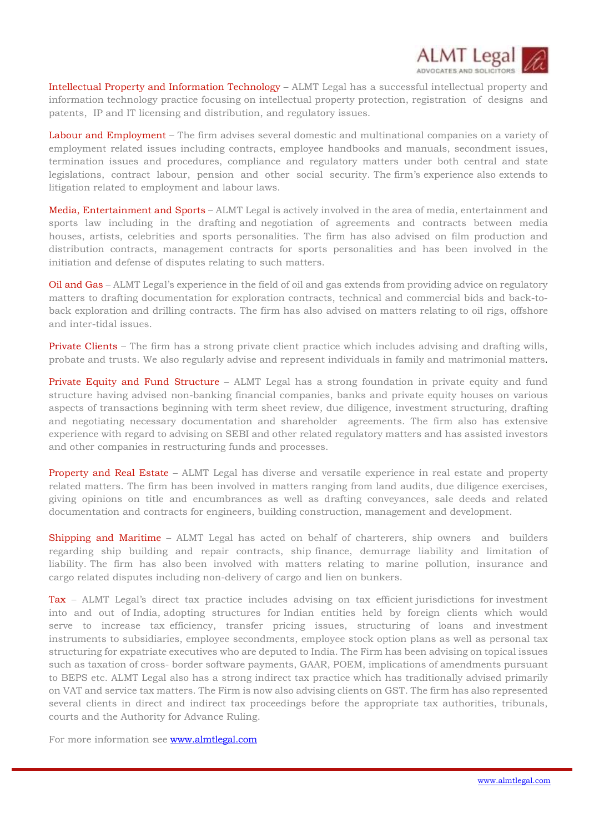

Intellectual Property and Information Technology – ALMT Legal has a successful intellectual property and information technology practice focusing on intellectual property protection, registration of designs and patents, IP and IT licensing and distribution, and regulatory issues.

Labour and Employment – The firm advises several domestic and multinational companies on a variety of employment related issues including contracts, employee handbooks and manuals, secondment issues, termination issues and procedures, compliance and regulatory matters under both central and state legislations, contract labour, pension and other social security. The firm's experience also extends to litigation related to employment and labour laws.

Media, Entertainment and Sports – ALMT Legal is actively involved in the area of media, entertainment and sports law including in the drafting and negotiation of agreements and contracts between media houses, artists, celebrities and sports personalities. The firm has also advised on film production and distribution contracts, management contracts for sports personalities and has been involved in the initiation and defense of disputes relating to such matters.

Oil and Gas – ALMT Legal's experience in the field of oil and gas extends from providing advice on regulatory matters to drafting documentation for exploration contracts, technical and commercial bids and back-toback exploration and drilling contracts. The firm has also advised on matters relating to oil rigs, offshore and inter-tidal issues.

Private Clients – The firm has a strong private client practice which includes advising and drafting wills, probate and trusts. We also regularly advise and represent individuals in family and matrimonial matters.

Private Equity and Fund Structure – ALMT Legal has a strong foundation in private equity and fund structure having advised non-banking financial companies, banks and private equity houses on various aspects of transactions beginning with term sheet review, due diligence, investment structuring, drafting and negotiating necessary documentation and shareholder agreements. The firm also has extensive experience with regard to advising on SEBI and other related regulatory matters and has assisted investors and other companies in restructuring funds and processes.

Property and Real Estate – ALMT Legal has diverse and versatile experience in real estate and property related matters. The firm has been involved in matters ranging from land audits, due diligence exercises, giving opinions on title and encumbrances as well as drafting conveyances, sale deeds and related documentation and contracts for engineers, building construction, management and development.

Shipping and Maritime – ALMT Legal has acted on behalf of charterers, ship owners and builders regarding ship building and repair contracts, ship finance, demurrage liability and limitation of liability. The firm has also been involved with matters relating to marine pollution, insurance and cargo related disputes including non-delivery of cargo and lien on bunkers.

Tax – ALMT Legal's direct tax practice includes advising on tax efficient jurisdictions for investment into and out of India, adopting structures for Indian entities held by foreign clients which would serve to increase tax efficiency, transfer pricing issues, structuring of loans and investment instruments to subsidiaries, employee secondments, employee stock option plans as well as personal tax structuring for expatriate executives who are deputed to India. The Firm has been advising on topical issues such as taxation of cross- border software payments, GAAR, POEM, implications of amendments pursuant to BEPS etc. ALMT Legal also has a strong indirect tax practice which has traditionally advised primarily on VAT and service tax matters. The Firm is now also advising clients on GST. The firm has also represented several clients in direct and indirect tax proceedings before the appropriate tax authorities, tribunals, courts and the Authority for Advance Ruling.

For more information see www.almtlegal.com

i<br>I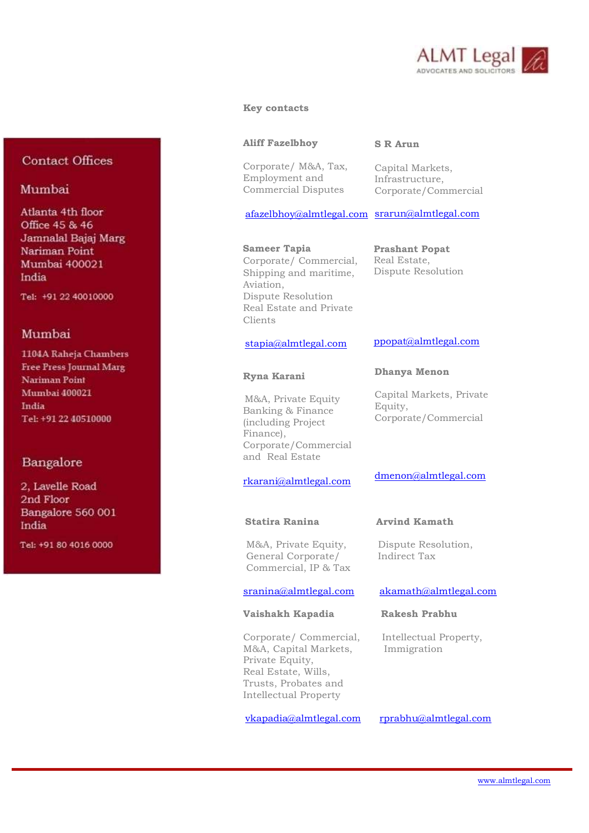

#### Key contacts

#### Aliff Fazelbhoy

Corporate/ M&A, Tax, Employment and Commercial Disputes

#### S R Arun

Capital Markets, Infrastructure, Corporate/Commercial

afazelbhoy@almtlegal.com srarun@almtlegal.com

 Sameer Tapia Corporate/ Commercial, Shipping and maritime, Aviation, Dispute Resolution Real Estate and Private Clients

## stapia@almtlegal.com

#### Ryna Karani

 M&A, Private Equity Banking & Finance (including Project Finance), Corporate/Commercial and Real Estate

## rkarani@almtlegal.com

M&A, Private Equity, Dispute Resolution, General Corporate/ Indirect Tax Commercial, IP & Tax

### Vaishakh Kapadia Rakesh Prabhu

Corporate/ Commercial, Intellectual Property, M&A, Capital Markets, Immigration Private Equity, Real Estate, Wills, Trusts, Probates and Intellectual Property

vkapadia@almtlegal.com rprabhu@almtlegal.com

Prashant Popat Real Estate,

Dispute Resolution

## ppopat@almtlegal.com

### Dhanya Menon

Capital Markets, Private Equity, Corporate/Commercial

### dmenon@almtlegal.com

#### Statira Ranina Arvind Kamath

#### sranina@almtlegal.com akamath@almtlegal.com

# **Contact Offices**

## Mumbai

Atlanta 4th floor Office 45 & 46 Jamnalal Bajaj Marg Nariman Point Mumbai 400021 India

Tel: +91 22 40010000

## Mumbai

1104A Raheja Chambers **Free Press Journal Marg Nariman Point Mumbai 400021** India Tel: +91 22 40510000

# Bangalore

2. Lavelle Road 2nd Floor Bangalore 560 001 India

Tel: +91 80 4016 0000

i<br>I